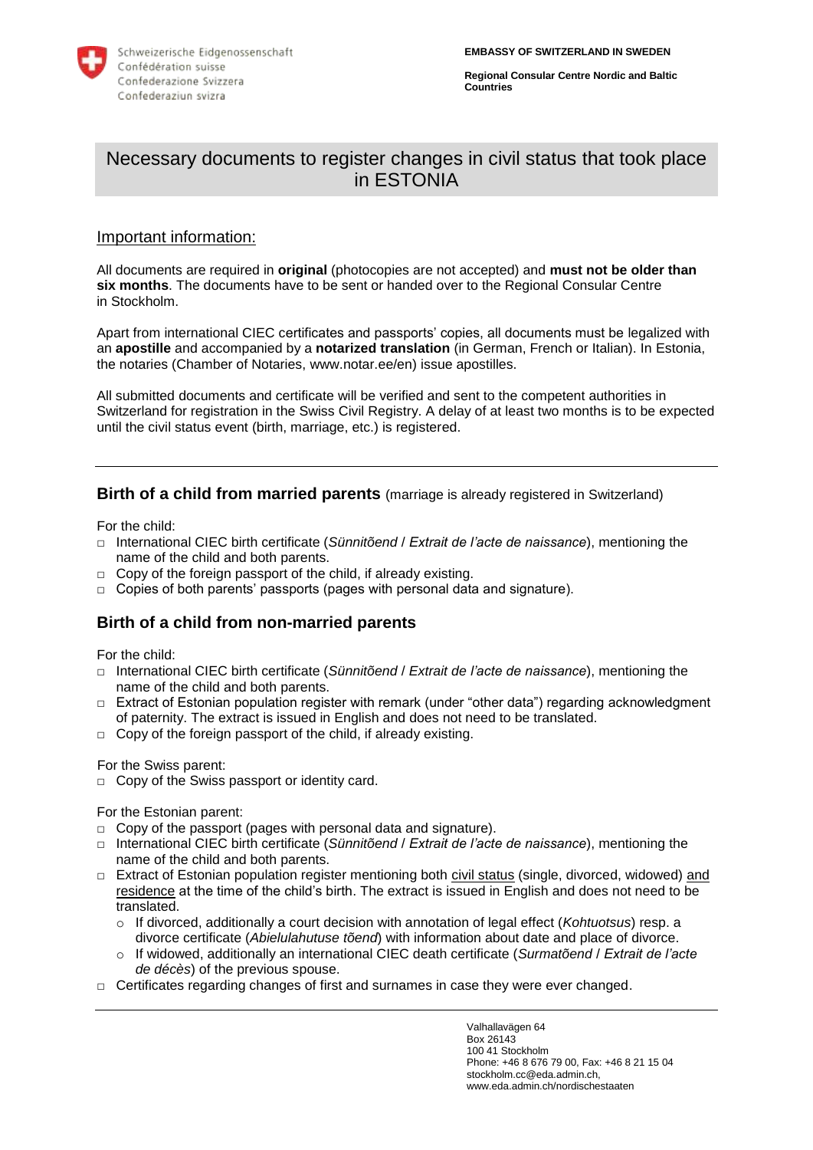

**Regional Consular Centre Nordic and Baltic Countries**

# Necessary documents to register changes in civil status that took place in ESTONIA

#### Important information:

All documents are required in **original** (photocopies are not accepted) and **must not be older than six months**. The documents have to be sent or handed over to the Regional Consular Centre in Stockholm.

Apart from international CIEC certificates and passports' copies, all documents must be legalized with an **apostille** and accompanied by a **notarized translation** (in German, French or Italian). In Estonia, the notaries (Chamber of Notaries, www.notar.ee/en) issue apostilles.

All submitted documents and certificate will be verified and sent to the competent authorities in Switzerland for registration in the Swiss Civil Registry. A delay of at least two months is to be expected until the civil status event (birth, marriage, etc.) is registered.

### **Birth of a child from married parents** (marriage is already registered in Switzerland)

For the child:

- **□** International CIEC birth certificate (*Sünnitõend* / *Extrait de l'acte de naissance*), mentioning the name of the child and both parents.
- □ Copy of the foreign passport of the child, if already existing.
- **□** Copies of both parents' passports (pages with personal data and signature).

# **Birth of a child from non-married parents**

For the child:

- **□** International CIEC birth certificate (*Sünnitõend* / *Extrait de l'acte de naissance*), mentioning the name of the child and both parents.
- **□** Extract of Estonian population register with remark (under "other data") regarding acknowledgment of paternity. The extract is issued in English and does not need to be translated.
- □ Copy of the foreign passport of the child, if already existing.

For the Swiss parent:

**□** Copy of the Swiss passport or identity card.

For the Estonian parent:

- **□** Copy of the passport (pages with personal data and signature).
- **□** International CIEC birth certificate (*Sünnitõend* / *Extrait de l'acte de naissance*), mentioning the name of the child and both parents.
- **□** Extract of Estonian population register mentioning both civil status (single, divorced, widowed) and residence at the time of the child's birth. The extract is issued in English and does not need to be translated.
	- o If divorced, additionally a court decision with annotation of legal effect (*Kohtuotsus*) resp. a divorce certificate (*Abielulahutuse tõend*) with information about date and place of divorce.
	- o If widowed, additionally an international CIEC death certificate (*Surmatõend* / *Extrait de l'acte de décès*) of the previous spouse.
- □ Certificates regarding changes of first and surnames in case they were ever changed.

Valhallavägen 64 Box 26143 100 41 Stockholm Phone: +46 8 676 79 00, Fax: +46 8 21 15 04 stockholm.cc@eda.admin.ch, www.eda.admin.ch/nordischestaaten